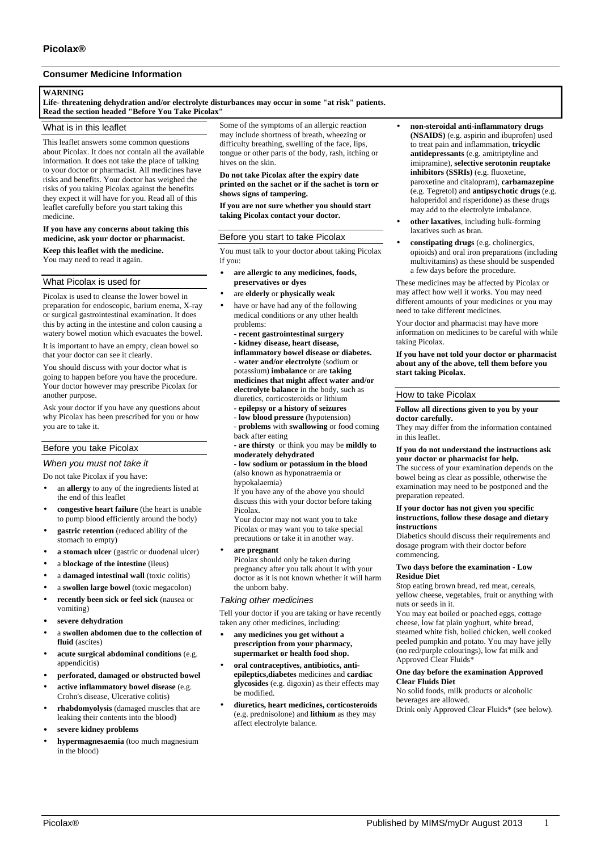# **Consumer Medicine Information**

### **WARNING**

**Life- threatening dehydration and/or electrolyte disturbances may occur in some "at risk" patients. Read the section headed "Before You Take Picolax"**

### What is in this leaflet

This leaflet answers some common questions about Picolax. It does not contain all the available information. It does not take the place of talking to your doctor or pharmacist. All medicines have risks and benefits. Your doctor has weighed the risks of you taking Picolax against the benefits they expect it will have for you. Read all of this leaflet carefully before you start taking this medicine.

#### **If you have any concerns about taking this medicine, ask your doctor or pharmacist.**

**Keep this leaflet with the medicine.** You may need to read it again.

## What Picolax is used for

Picolax is used to cleanse the lower bowel in preparation for endoscopic, barium enema, X-ray or surgical gastrointestinal examination. It does this by acting in the intestine and colon causing a watery bowel motion which evacuates the bowel.

It is important to have an empty, clean bowel so that your doctor can see it clearly.

You should discuss with your doctor what is going to happen before you have the procedure. Your doctor however may prescribe Picolax for another purpose.

Ask your doctor if you have any questions about why Picolax has been prescribed for you or how you are to take it.

## Before you take Picolax

### *When you must not take it*

Do not take Picolax if you have:

- an **allergy** to any of the ingredients listed at the end of this leaflet
- **congestive heart failure** (the heart is unable to pump blood efficiently around the body)
- **gastric retention** (reduced ability of the stomach to empty)
- **a stomach ulcer** (gastric or duodenal ulcer)
- a **blockage of the intestine** (ileus)
- a **damaged intestinal wall** (toxic colitis)
- a **swollen large bowel** (toxic megacolon)
- **recently been sick or feel sick** (nausea or vomiting)
- **severe dehydration**
- a **swollen abdomen due to the collection of fluid** (ascites)
- **acute surgical abdominal conditions** (e.g. appendicitis)
- **perforated, damaged or obstructed bowel**
- **active inflammatory bowel disease** (e.g. Crohn's disease, Ulcerative colitis)
- **rhabdomyolysis** (damaged muscles that are leaking their contents into the blood)
- **severe kidney problems**
- **hypermagnesaemia** (too much magnesium in the blood)

Some of the symptoms of an allergic reaction may include shortness of breath, wheezing or difficulty breathing, swelling of the face, lips, tongue or other parts of the body, rash, itching or hives on the skin.

## **Do not take Picolax after the expiry date printed on the sachet or if the sachet is torn or shows signs of tampering.**

**If you are not sure whether you should start taking Picolax contact your doctor.**

## Before you start to take Picolax

You must talk to your doctor about taking Picolax if you:

- **are allergic to any medicines, foods, preservatives or dyes**
- are **elderly** or **physically weak**
- have or have had any of the following medical conditions or any other health problems:
	- **recent gastrointestinal surgery - kidney disease, heart disease, inflammatory bowel disease or diabetes.** - **water and/or electrolyte** (sodium or potassium) **imbalance** or are **taking medicines that might affect water and/or electrolyte balance** in the body, such as diuretics, corticosteroids or lithium **- epilepsy or a history of seizures**
	- - **low blood pressure** (hypotension)

- **problems** with **swallowing** or food coming back after eating

**- are thirsty** or think you may be **mildly to moderately dehydrated**

#### **- low sodium or potassium in the blood** (also known as hyponatraemia or hypokalaemia)

If you have any of the above you should discuss this with your doctor before taking Picolax.

Your doctor may not want you to take Picolax or may want you to take special precautions or take it in another way.

• **are pregnant**

Picolax should only be taken during pregnancy after you talk about it with your doctor as it is not known whether it will harm the unborn baby.

## *Taking other medicines*

Tell your doctor if you are taking or have recently taken any other medicines, including:

- **any medicines you get without a prescription from your pharmacy, supermarket or health food shop.**
- **oral contraceptives, antibiotics, antiepileptics,diabetes** medicines and **cardiac glycosides** (e.g. digoxin) as their effects may be modified.
- **diuretics, heart medicines, corticosteroids** (e.g. prednisolone) and **lithium** as they may affect electrolyte balance.
- **non-steroidal anti-inflammatory drugs (NSAIDS)** (e.g. aspirin and ibuprofen) used to treat pain and inflammation, **tricyclic antidepressants** (e.g. amitriptyline and imipramine), **selective serotonin reuptake inhibitors (SSRIs)** (e.g. fluoxetine, paroxetine and citalopram), **carbamazepine** (e.g. Tegretol) and **antipsychotic drugs** (e.g. haloperidol and risperidone) as these drugs may add to the electrolyte imbalance.
- **other laxatives**, including bulk-forming laxatives such as bran.
- **constipating drugs** (e.g. cholinergics, opioids) and oral iron preparations (including multivitamins) as these should be suspended a few days before the procedure.

These medicines may be affected by Picolax or may affect how well it works. You may need different amounts of your medicines or you may need to take different medicines.

Your doctor and pharmacist may have more information on medicines to be careful with while taking Picolax.

**If you have not told your doctor or pharmacist about any of the above, tell them before you start taking Picolax.**

#### How to take Picolax

#### **Follow all directions given to you by your doctor carefully.**

They may differ from the information contained in this leaflet.

#### **If you do not understand the instructions ask your doctor or pharmacist for help.**

The success of your examination depends on the bowel being as clear as possible, otherwise the examination may need to be postponed and the preparation repeated.

### **If your doctor has not given you specific instructions, follow these dosage and dietary instructions**

Diabetics should discuss their requirements and dosage program with their doctor before commencing.

#### **Two days before the examination - Low Residue Diet**

Stop eating brown bread, red meat, cereals, yellow cheese, vegetables, fruit or anything with nuts or seeds in it.

You may eat boiled or poached eggs, cottage cheese, low fat plain yoghurt, white bread, steamed white fish, boiled chicken, well cooked peeled pumpkin and potato. You may have jelly (no red/purple colourings), low fat milk and Approved Clear Fluids\*

#### **One day before the examination Approved Clear Fluids Diet**

No solid foods, milk products or alcoholic beverages are allowed. Drink only Approved Clear Fluids\* (see below).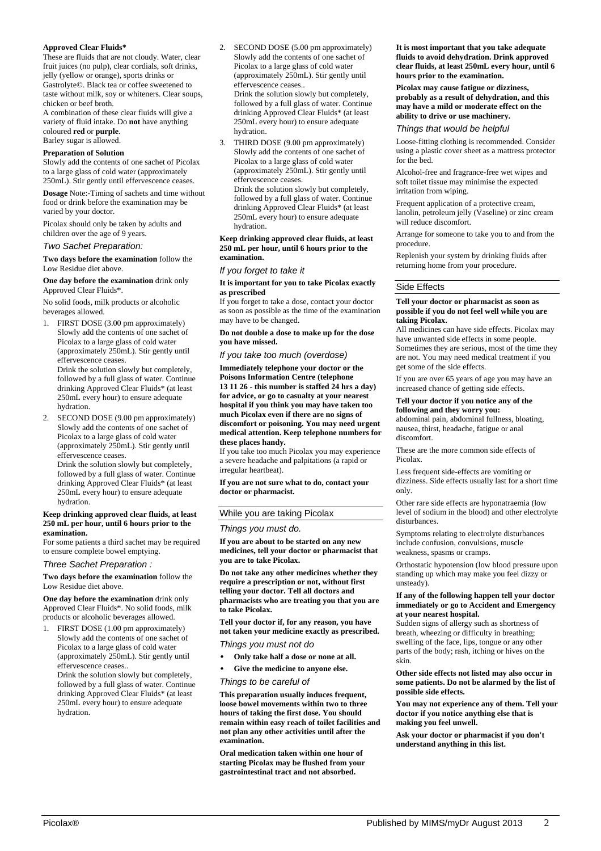## **Approved Clear Fluids\***

These are fluids that are not cloudy. Water, clear fruit juices (no pulp), clear cordials, soft drinks, jelly (yellow or orange), sports drinks or Gastrolyte©. Black tea or coffee sweetened to taste without milk, soy or whiteners. Clear soups, chicken or beef broth.

A combination of these clear fluids will give a variety of fluid intake. Do **not** have anything coloured **red** or **purple**. Barley sugar is allowed.

# **Preparation of Solution**

Slowly add the contents of one sachet of Picolax to a large glass of cold water (approximately 250mL). Stir gently until effervescence ceases.

**Dosage** Note:-Timing of sachets and time without food or drink before the examination may be varied by your doctor.

Picolax should only be taken by adults and children over the age of 9 years.

#### *Two Sachet Preparation:*

**Two days before the examination** follow the Low Residue diet above.

**One day before the examination** drink only Approved Clear Fluids\*.

No solid foods, milk products or alcoholic beverages allowed.

1. FIRST DOSE (3.00 pm approximately) Slowly add the contents of one sachet of Picolax to a large glass of cold water (approximately 250mL). Stir gently until effervescence ceases. Drink the solution slowly but completely, followed by a full glass of water. Continue drinking Approved Clear Fluids\* (at least

250mL every hour) to ensure adequate hydration.

2. SECOND DOSE (9.00 pm approximately) Slowly add the contents of one sachet of Picolax to a large glass of cold water (approximately 250mL). Stir gently until effervescence ceases.

Drink the solution slowly but completely, followed by a full glass of water. Continue drinking Approved Clear Fluids\* (at least 250mL every hour) to ensure adequate hydration.

#### **Keep drinking approved clear fluids, at least 250 mL per hour, until 6 hours prior to the examination.**

For some patients a third sachet may be required to ensure complete bowel emptying.

#### *Three Sachet Preparation :*

**Two days before the examination** follow the Low Residue diet above.

**One day before the examination** drink only Approved Clear Fluids\*. No solid foods, milk products or alcoholic beverages allowed.

FIRST DOSE (1.00 pm approximately) Slowly add the contents of one sachet of Picolax to a large glass of cold water (approximately 250mL). Stir gently until effervescence ceases..

Drink the solution slowly but completely, followed by a full glass of water. Continue drinking Approved Clear Fluids\* (at least 250mL every hour) to ensure adequate hydration.

- 2. SECOND DOSE (5.00 pm approximately) Slowly add the contents of one sachet of Picolax to a large glass of cold water (approximately 250mL). Stir gently until effervescence ceases.. Drink the solution slowly but completely, followed by a full glass of water. Continue drinking Approved Clear Fluids\* (at least 250mL every hour) to ensure adequate hydration.
- 3. THIRD DOSE (9.00 pm approximately) Slowly add the contents of one sachet of Picolax to a large glass of cold water (approximately 250mL). Stir gently until effervescence ceases. Drink the solution slowly but completely, followed by a full glass of water. Continue drinking Approved Clear Fluids\* (at least 250mL every hour) to ensure adequate hydration.

#### **Keep drinking approved clear fluids, at least 250 mL per hour, until 6 hours prior to the examination.**

#### *If you forget to take it*

#### **It is important for you to take Picolax exactly as prescribed**

If you forget to take a dose, contact your doctor as soon as possible as the time of the examination may have to be changed.

**Do not double a dose to make up for the dose you have missed.**

*If you take too much (overdose)*

**Immediately telephone your doctor or the Poisons Information Centre (telephone 13 11 26 - this number is staffed 24 hrs a day) for advice, or go to casualty at your nearest hospital if you think you may have taken too much Picolax even if there are no signs of discomfort or poisoning. You may need urgent medical attention. Keep telephone numbers for these places handy.**

If you take too much Picolax you may experience a severe headache and palpitations (a rapid or irregular heartbeat).

**If you are not sure what to do, contact your doctor or pharmacist.**

## While you are taking Picolax

## *Things you must do.*

**If you are about to be started on any new medicines, tell your doctor or pharmacist that you are to take Picolax.**

**Do not take any other medicines whether they require a prescription or not, without first telling your doctor. Tell all doctors and pharmacists who are treating you that you are to take Picolax.**

**Tell your doctor if, for any reason, you have not taken your medicine exactly as prescribed.**

# *Things you must not do*

- **Only take half a dose or none at all.**
- **Give the medicine to anyone else.**

#### *Things to be careful of*

**This preparation usually induces frequent, loose bowel movements within two to three hours of taking the first dose. You should remain within easy reach of toilet facilities and not plan any other activities until after the examination.**

**Oral medication taken within one hour of starting Picolax may be flushed from your gastrointestinal tract and not absorbed.**

**It is most important that you take adequate fluids to avoid dehydration. Drink approved clear fluids, at least 250mL every hour, until 6 hours prior to the examination.**

**Picolax may cause fatigue or dizziness, probably as a result of dehydration, and this may have a mild or moderate effect on the ability to drive or use machinery.**

### *Things that would be helpful*

Loose-fitting clothing is recommended. Consider using a plastic cover sheet as a mattress protector for the bed.

Alcohol-free and fragrance-free wet wipes and soft toilet tissue may minimise the expected irritation from wiping.

Frequent application of a protective cream, lanolin, petroleum jelly (Vaseline) or zinc cream will reduce discomfort.

Arrange for someone to take you to and from the procedure.

Replenish your system by drinking fluids after returning home from your procedure.

## Side Effects

#### **Tell your doctor or pharmacist as soon as possible if you do not feel well while you are taking Picolax.**

All medicines can have side effects. Picolax may have unwanted side effects in some people. Sometimes they are serious, most of the time they are not. You may need medical treatment if you get some of the side effects.

If you are over 65 years of age you may have an increased chance of getting side effects.

#### **Tell your doctor if you notice any of the following and they worry you:**

abdominal pain, abdominal fullness, bloating, nausea, thirst, headache, fatigue or anal discomfort.

These are the more common side effects of Picolax.

Less frequent side-effects are vomiting or dizziness. Side effects usually last for a short time only.

Other rare side effects are hyponatraemia (low level of sodium in the blood) and other electrolyte disturbances.

Symptoms relating to electrolyte disturbances include confusion, convulsions, muscle weakness, spasms or cramps.

Orthostatic hypotension (low blood pressure upon standing up which may make you feel dizzy or unsteady).

#### **If any of the following happen tell your doctor immediately or go to Accident and Emergency at your nearest hospital.**

Sudden signs of allergy such as shortness of breath, wheezing or difficulty in breathing; swelling of the face, lips, tongue or any other parts of the body; rash, itching or hives on the skin.

#### **Other side effects not listed may also occur in some patients. Do not be alarmed by the list of possible side effects.**

**You may not experience any of them. Tell your doctor if you notice anything else that is making you feel unwell.**

**Ask your doctor or pharmacist if you don't understand anything in this list.**